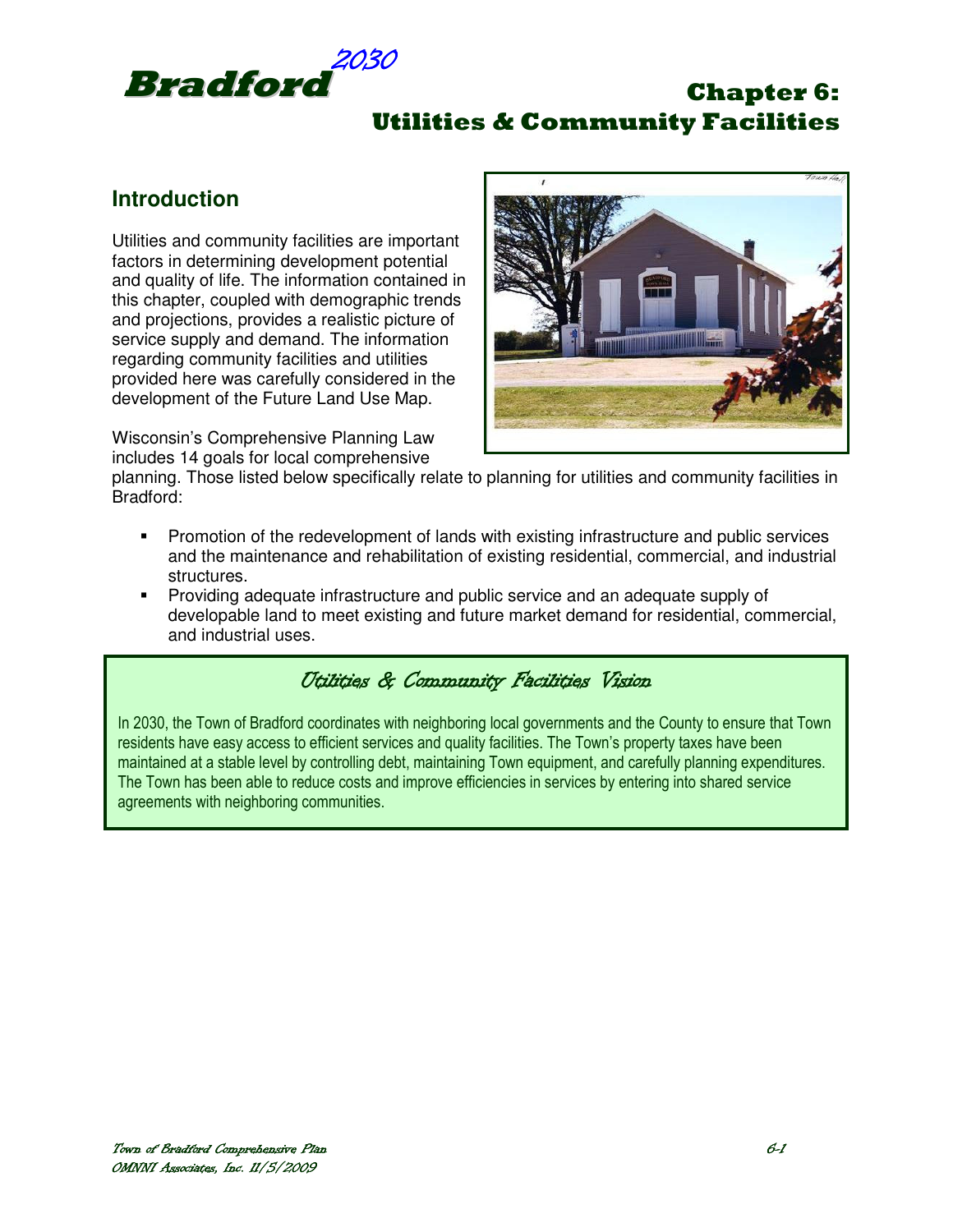

# **Introduction**

Utilities and community facilities are important factors in determining development potential and quality of life. The information contained in this chapter, coupled with demographic trends and projections, provides a realistic picture of service supply and demand. The information regarding community facilities and utilities provided here was carefully considered in the development of the Future Land Use Map.

Wisconsin's Comprehensive Planning Law includes 14 goals for local comprehensive



planning. Those listed below specifically relate to planning for utilities and community facilities in Bradford:

- Promotion of the redevelopment of lands with existing infrastructure and public services and the maintenance and rehabilitation of existing residential, commercial, and industrial structures.
- Providing adequate infrastructure and public service and an adequate supply of developable land to meet existing and future market demand for residential, commercial, and industrial uses.

## Utilities & Community Facilities Vision

In 2030, the Town of Bradford coordinates with neighboring local governments and the County to ensure that Town residents have easy access to efficient services and quality facilities. The Town's property taxes have been maintained at a stable level by controlling debt, maintaining Town equipment, and carefully planning expenditures. The Town has been able to reduce costs and improve efficiencies in services by entering into shared service agreements with neighboring communities.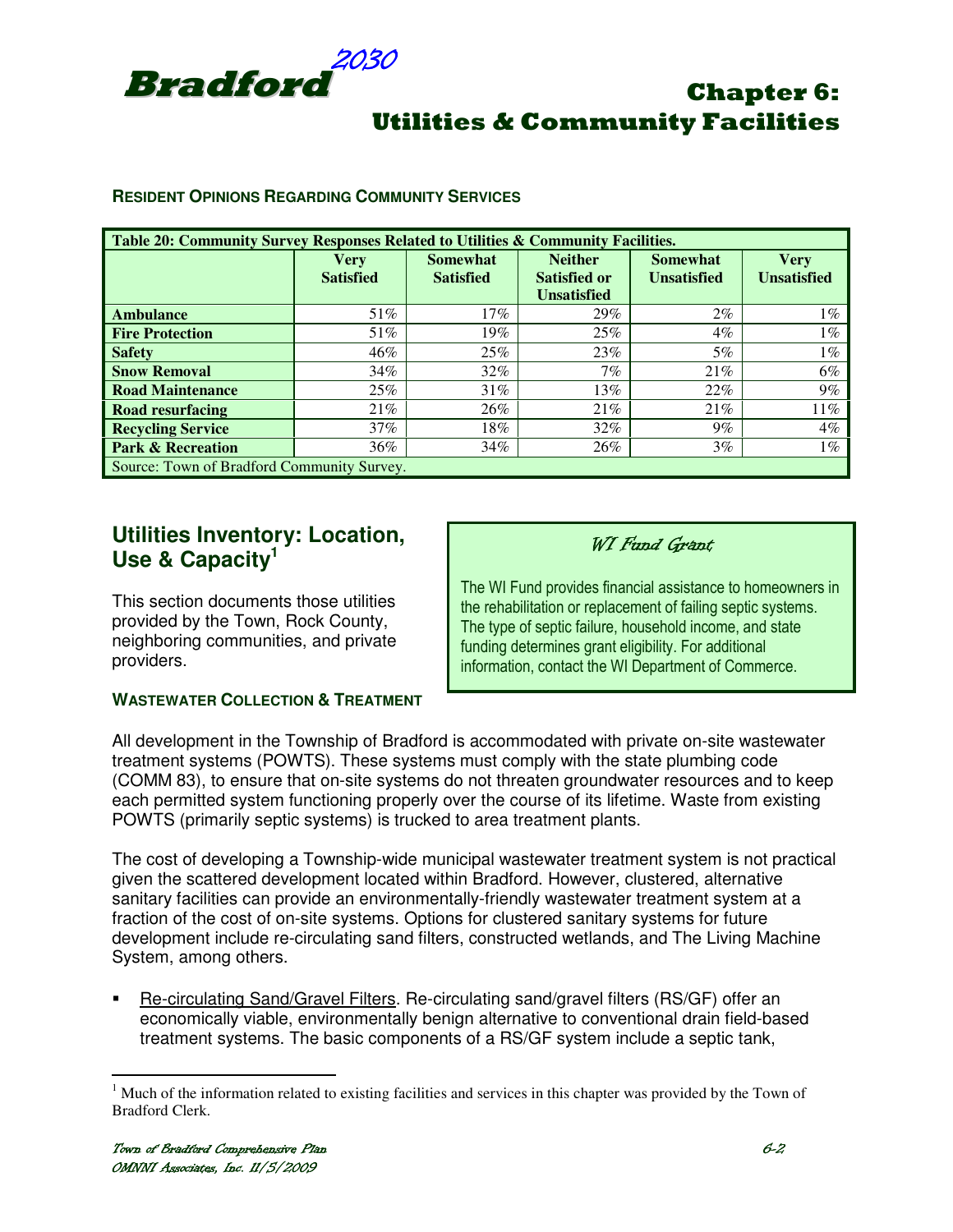

#### **RESIDENT OPINIONS REGARDING COMMUNITY SERVICES**

| Table 20: Community Survey Responses Related to Utilities & Community Facilities. |                          |                                     |                                                             |                                       |                                   |  |
|-----------------------------------------------------------------------------------|--------------------------|-------------------------------------|-------------------------------------------------------------|---------------------------------------|-----------------------------------|--|
|                                                                                   | Very<br><b>Satisfied</b> | <b>Somewhat</b><br><b>Satisfied</b> | <b>Neither</b><br><b>Satisfied or</b><br><b>Unsatisfied</b> | <b>Somewhat</b><br><b>Unsatisfied</b> | <b>Very</b><br><b>Unsatisfied</b> |  |
| <b>Ambulance</b>                                                                  | 51%                      | 17%                                 | 29%                                                         | $2\%$                                 | $1\%$                             |  |
| <b>Fire Protection</b>                                                            | 51%                      | 19%                                 | 25%                                                         | $4\%$                                 | $1\%$                             |  |
| <b>Safety</b>                                                                     | 46%                      | 25%                                 | 23%                                                         | 5%                                    | $1\%$                             |  |
| <b>Snow Removal</b>                                                               | 34%                      | 32%                                 | 7%                                                          | 21%                                   | 6%                                |  |
| <b>Road Maintenance</b>                                                           | 25%                      | 31%                                 | 13%                                                         | 22%                                   | 9%                                |  |
| <b>Road resurfacing</b>                                                           | 21%                      | 26%                                 | 21%                                                         | 21%                                   | 11%                               |  |
| <b>Recycling Service</b>                                                          | 37%                      | 18%                                 | 32%                                                         | 9%                                    | $4\%$                             |  |
| <b>Park &amp; Recreation</b>                                                      | 36%                      | 34%                                 | 26%                                                         | $3\%$                                 | $1\%$                             |  |
| Source: Town of Bradford Community Survey.                                        |                          |                                     |                                                             |                                       |                                   |  |

## **Utilities Inventory: Location, Use & Capacity<sup>1</sup>**

This section documents those utilities provided by the Town, Rock County, neighboring communities, and private providers.

#### **WASTEWATER COLLECTION & TREATMENT**

#### WI Fund Grant

The WI Fund provides financial assistance to homeowners in the rehabilitation or replacement of failing septic systems. The type of septic failure, household income, and state funding determines grant eligibility. For additional information, contact the WI Department of Commerce.

All development in the Township of Bradford is accommodated with private on-site wastewater treatment systems (POWTS). These systems must comply with the state plumbing code (COMM 83), to ensure that on-site systems do not threaten groundwater resources and to keep each permitted system functioning properly over the course of its lifetime. Waste from existing POWTS (primarily septic systems) is trucked to area treatment plants.

The cost of developing a Township-wide municipal wastewater treatment system is not practical given the scattered development located within Bradford. However, clustered, alternative sanitary facilities can provide an environmentally-friendly wastewater treatment system at a fraction of the cost of on-site systems. Options for clustered sanitary systems for future development include re-circulating sand filters, constructed wetlands, and The Living Machine System, among others.

 Re-circulating Sand/Gravel Filters. Re-circulating sand/gravel filters (RS/GF) offer an economically viable, environmentally benign alternative to conventional drain field-based treatment systems. The basic components of a RS/GF system include a septic tank,

<sup>&</sup>lt;sup>1</sup> Much of the information related to existing facilities and services in this chapter was provided by the Town of Bradford Clerk.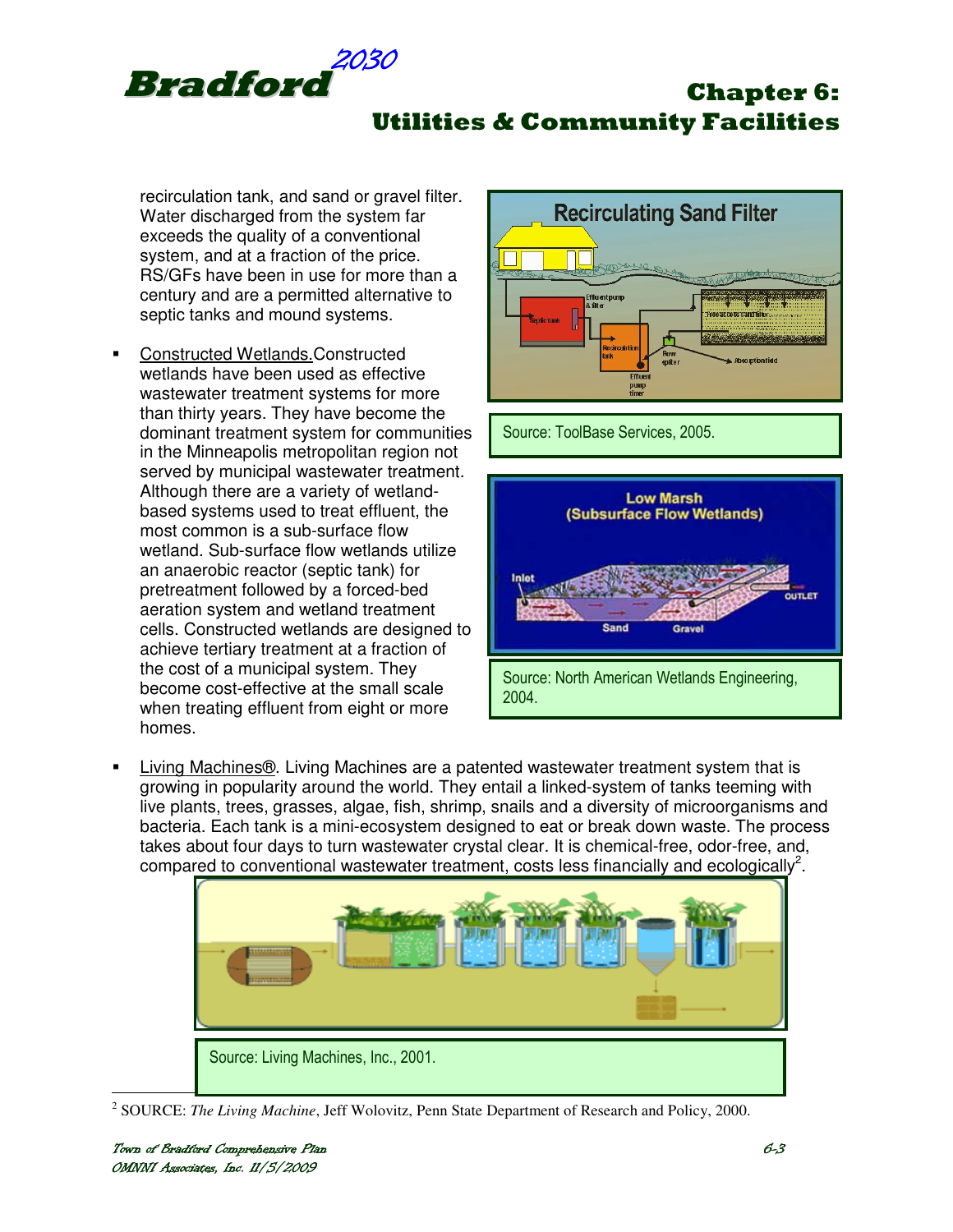

Utilities & Community Facilities

recirculation tank, and sand or gravel filter. Water discharged from the system far exceeds the quality of a conventional system, and at a fraction of the price. RS/GFs have been in use for more than a century and are a permitted alternative to septic tanks and mound systems.

 Constructed Wetlands.Constructed wetlands have been used as effective wastewater treatment systems for more than thirty years. They have become the dominant treatment system for communities in the Minneapolis metropolitan region not served by municipal wastewater treatment. Although there are a variety of wetlandbased systems used to treat effluent, the most common is a sub-surface flow wetland. Sub-surface flow wetlands utilize an anaerobic reactor (septic tank) for pretreatment followed by a forced-bed aeration system and wetland treatment cells. Constructed wetlands are designed to achieve tertiary treatment at a fraction of the cost of a municipal system. They become cost-effective at the small scale when treating effluent from eight or more homes.



Source: ToolBase Services, 2005.



 Living Machines®. Living Machines are a patented wastewater treatment system that is growing in popularity around the world. They entail a linked-system of tanks teeming with live plants, trees, grasses, algae, fish, shrimp, snails and a diversity of microorganisms and bacteria. Each tank is a mini-ecosystem designed to eat or break down waste. The process takes about four days to turn wastewater crystal clear. It is chemical-free, odor-free, and, compared to conventional wastewater treatment, costs less financially and ecologically<sup>2</sup>.



<sup>&</sup>lt;sup>2</sup> SOURCE: *The Living Machine*, Jeff Wolovitz, Penn State Department of Research and Policy, 2000.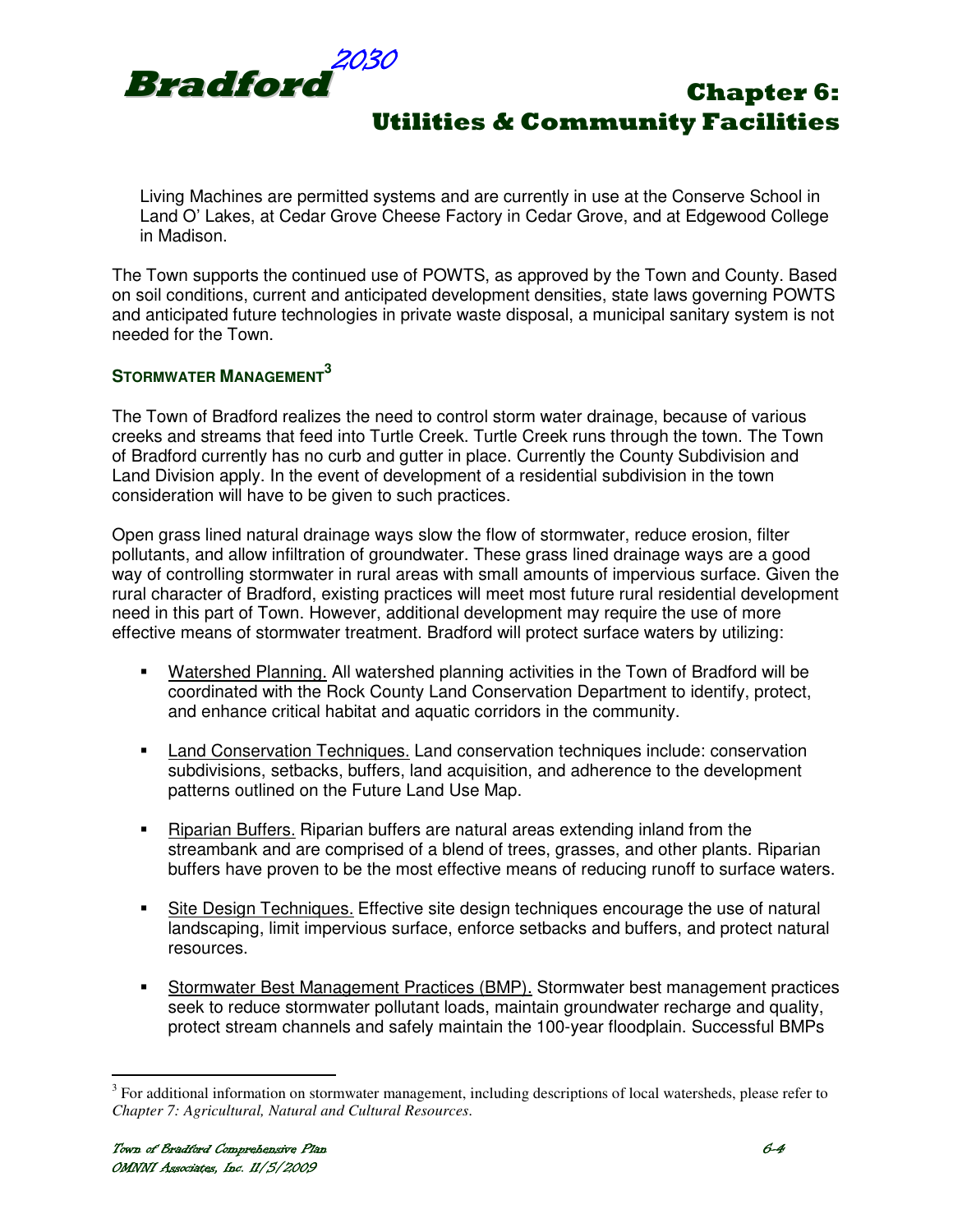

Living Machines are permitted systems and are currently in use at the Conserve School in Land O' Lakes, at Cedar Grove Cheese Factory in Cedar Grove, and at Edgewood College in Madison.

The Town supports the continued use of POWTS, as approved by the Town and County. Based on soil conditions, current and anticipated development densities, state laws governing POWTS and anticipated future technologies in private waste disposal, a municipal sanitary system is not needed for the Town.

### **STORMWATER MANAGEMENT<sup>3</sup>**

The Town of Bradford realizes the need to control storm water drainage, because of various creeks and streams that feed into Turtle Creek. Turtle Creek runs through the town. The Town of Bradford currently has no curb and gutter in place. Currently the County Subdivision and Land Division apply. In the event of development of a residential subdivision in the town consideration will have to be given to such practices.

Open grass lined natural drainage ways slow the flow of stormwater, reduce erosion, filter pollutants, and allow infiltration of groundwater. These grass lined drainage ways are a good way of controlling stormwater in rural areas with small amounts of impervious surface. Given the rural character of Bradford, existing practices will meet most future rural residential development need in this part of Town. However, additional development may require the use of more effective means of stormwater treatment. Bradford will protect surface waters by utilizing:

- Watershed Planning. All watershed planning activities in the Town of Bradford will be coordinated with the Rock County Land Conservation Department to identify, protect, and enhance critical habitat and aquatic corridors in the community.
- Land Conservation Techniques. Land conservation techniques include: conservation subdivisions, setbacks, buffers, land acquisition, and adherence to the development patterns outlined on the Future Land Use Map.
- Riparian Buffers. Riparian buffers are natural areas extending inland from the streambank and are comprised of a blend of trees, grasses, and other plants. Riparian buffers have proven to be the most effective means of reducing runoff to surface waters.
- Site Design Techniques. Effective site design techniques encourage the use of natural landscaping, limit impervious surface, enforce setbacks and buffers, and protect natural resources.
- **Stormwater Best Management Practices (BMP).** Stormwater best management practices seek to reduce stormwater pollutant loads, maintain groundwater recharge and quality, protect stream channels and safely maintain the 100-year floodplain. Successful BMPs

<sup>&</sup>lt;sup>3</sup> For additional information on stormwater management, including descriptions of local watersheds, please refer to *Chapter 7: Agricultural, Natural and Cultural Resources*.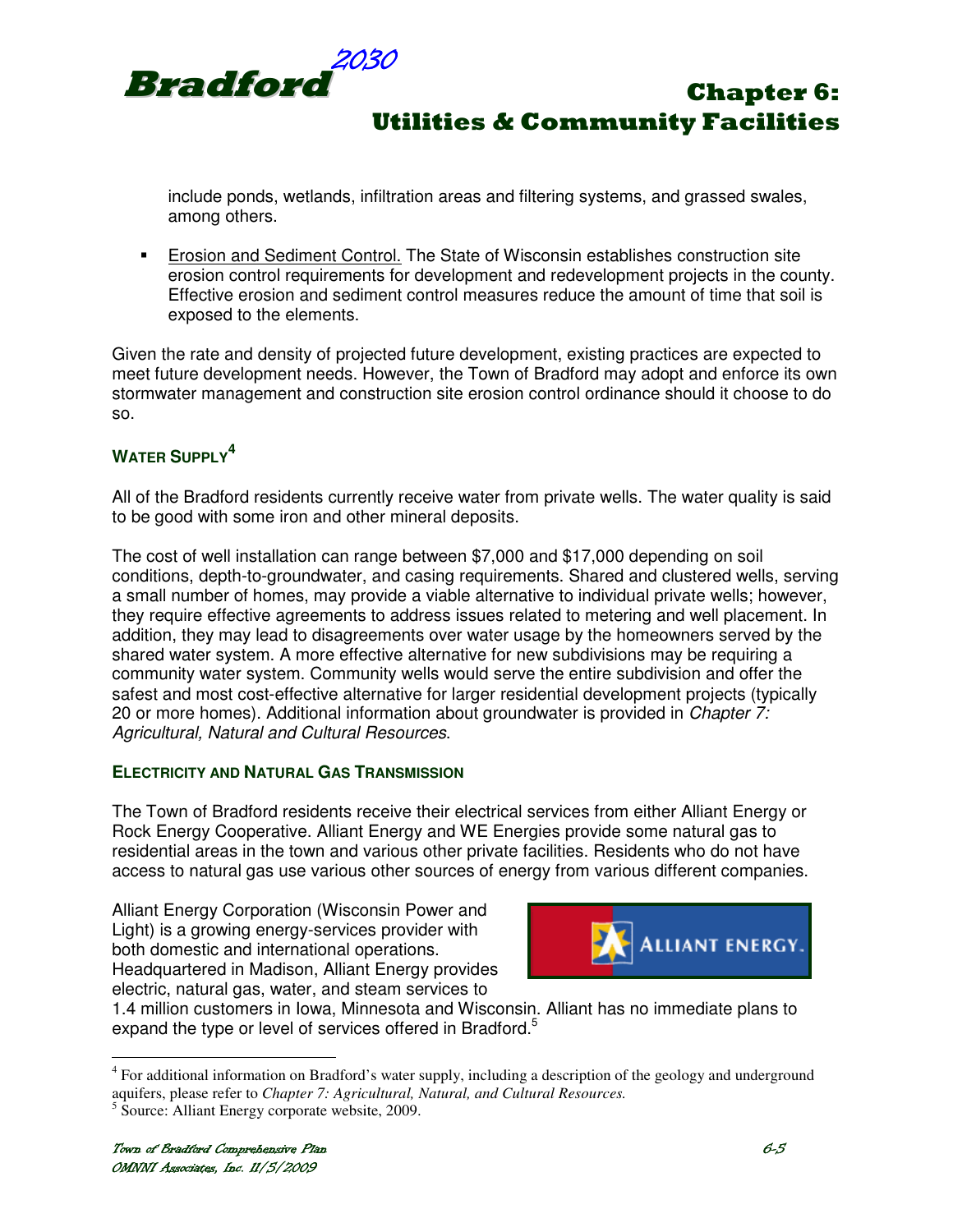

include ponds, wetlands, infiltration areas and filtering systems, and grassed swales, among others.

**Erosion and Sediment Control.** The State of Wisconsin establishes construction site erosion control requirements for development and redevelopment projects in the county. Effective erosion and sediment control measures reduce the amount of time that soil is exposed to the elements.

Given the rate and density of projected future development, existing practices are expected to meet future development needs. However, the Town of Bradford may adopt and enforce its own stormwater management and construction site erosion control ordinance should it choose to do so.

## **WATER SUPPLY<sup>4</sup>**

All of the Bradford residents currently receive water from private wells. The water quality is said to be good with some iron and other mineral deposits.

The cost of well installation can range between \$7,000 and \$17,000 depending on soil conditions, depth-to-groundwater, and casing requirements. Shared and clustered wells, serving a small number of homes, may provide a viable alternative to individual private wells; however, they require effective agreements to address issues related to metering and well placement. In addition, they may lead to disagreements over water usage by the homeowners served by the shared water system. A more effective alternative for new subdivisions may be requiring a community water system. Community wells would serve the entire subdivision and offer the safest and most cost-effective alternative for larger residential development projects (typically 20 or more homes). Additional information about groundwater is provided in Chapter 7: Agricultural, Natural and Cultural Resources.

#### **ELECTRICITY AND NATURAL GAS TRANSMISSION**

The Town of Bradford residents receive their electrical services from either Alliant Energy or Rock Energy Cooperative. Alliant Energy and WE Energies provide some natural gas to residential areas in the town and various other private facilities. Residents who do not have access to natural gas use various other sources of energy from various different companies.

Alliant Energy Corporation (Wisconsin Power and Light) is a growing energy-services provider with both domestic and international operations. Headquartered in Madison, Alliant Energy provides electric, natural gas, water, and steam services to



1.4 million customers in Iowa, Minnesota and Wisconsin. Alliant has no immediate plans to expand the type or level of services offered in Bradford.<sup>5</sup>

<sup>&</sup>lt;sup>4</sup> For additional information on Bradford's water supply, including a description of the geology and underground aquifers, please refer to *Chapter 7: Agricultural, Natural, and Cultural Resources.*

<sup>&</sup>lt;sup>5</sup> Source: Alliant Energy corporate website, 2009.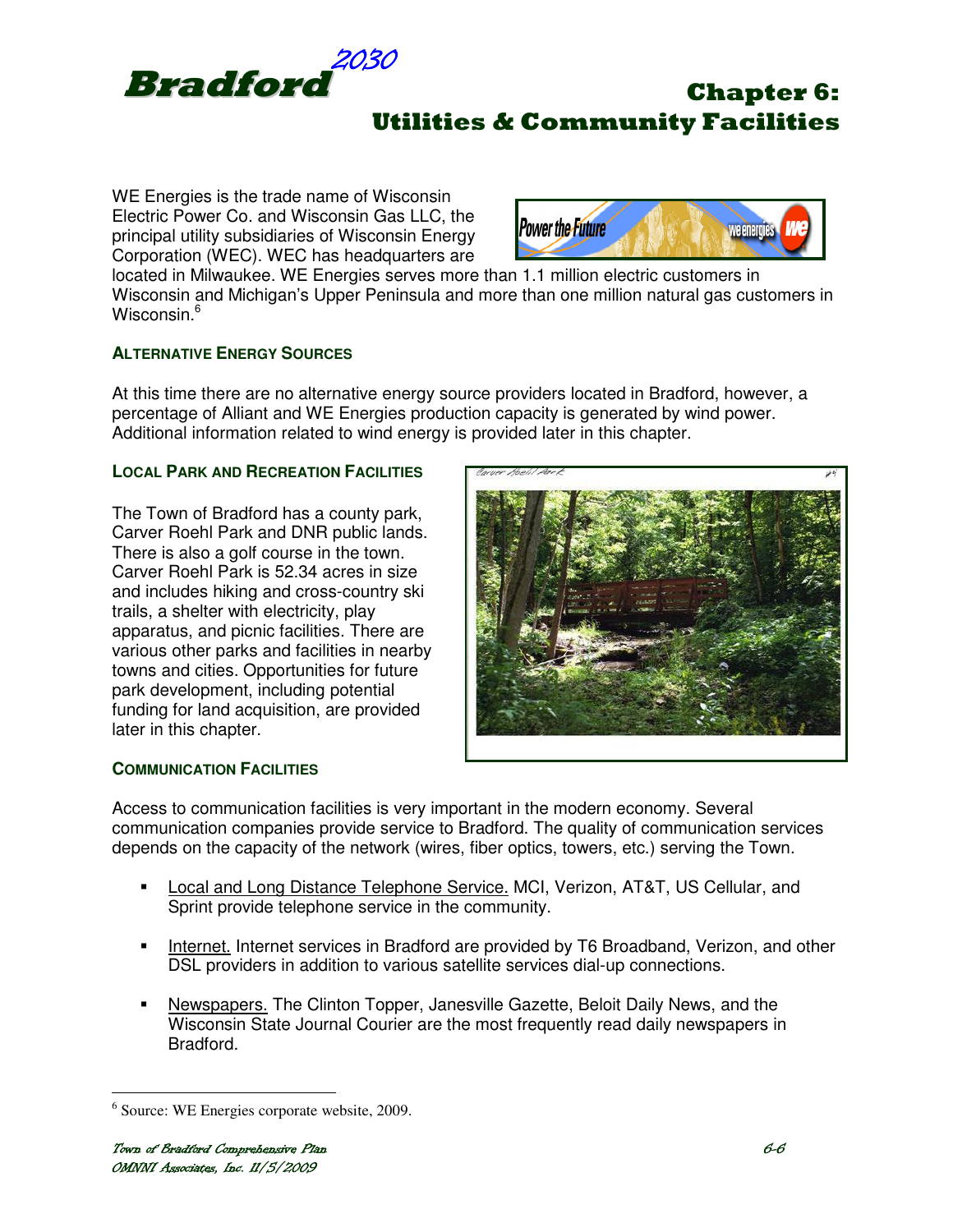

WE Energies is the trade name of Wisconsin Electric Power Co. and Wisconsin Gas LLC, the principal utility subsidiaries of Wisconsin Energy Corporation (WEC). WEC has headquarters are



located in Milwaukee. WE Energies serves more than 1.1 million electric customers in Wisconsin and Michigan's Upper Peninsula and more than one million natural gas customers in Wisconsin.<sup>6</sup>

#### **ALTERNATIVE ENERGY SOURCES**

At this time there are no alternative energy source providers located in Bradford, however, a percentage of Alliant and WE Energies production capacity is generated by wind power. Additional information related to wind energy is provided later in this chapter.

#### **LOCAL PARK AND RECREATION FACILITIES**

The Town of Bradford has a county park, Carver Roehl Park and DNR public lands. There is also a golf course in the town. Carver Roehl Park is 52.34 acres in size and includes hiking and cross-country ski trails, a shelter with electricity, play apparatus, and picnic facilities. There are various other parks and facilities in nearby towns and cities. Opportunities for future park development, including potential funding for land acquisition, are provided later in this chapter.



#### **COMMUNICATION FACILITIES**

Access to communication facilities is very important in the modern economy. Several communication companies provide service to Bradford. The quality of communication services depends on the capacity of the network (wires, fiber optics, towers, etc.) serving the Town.

- Local and Long Distance Telephone Service. MCI, Verizon, AT&T, US Cellular, and Sprint provide telephone service in the community.
- Internet. Internet services in Bradford are provided by T6 Broadband, Verizon, and other DSL providers in addition to various satellite services dial-up connections.
- Newspapers. The Clinton Topper, Janesville Gazette, Beloit Daily News, and the Wisconsin State Journal Courier are the most frequently read daily newspapers in Bradford.

<sup>6</sup> Source: WE Energies corporate website, 2009.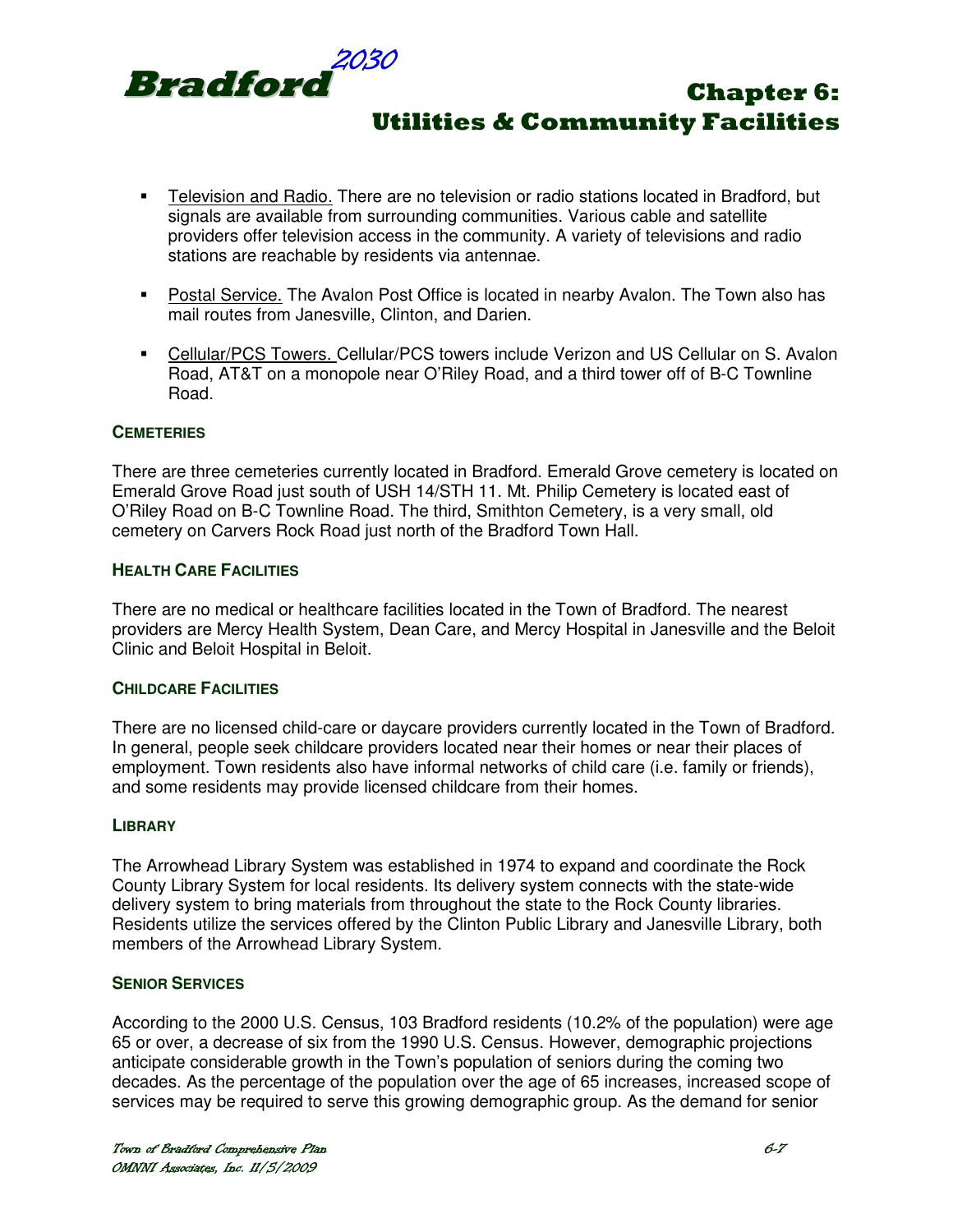

- Television and Radio. There are no television or radio stations located in Bradford, but signals are available from surrounding communities. Various cable and satellite providers offer television access in the community. A variety of televisions and radio stations are reachable by residents via antennae.
- Postal Service. The Avalon Post Office is located in nearby Avalon. The Town also has mail routes from Janesville, Clinton, and Darien.
- Cellular/PCS Towers. Cellular/PCS towers include Verizon and US Cellular on S. Avalon Road, AT&T on a monopole near O'Riley Road, and a third tower off of B-C Townline Road.

#### **CEMETERIES**

There are three cemeteries currently located in Bradford. Emerald Grove cemetery is located on Emerald Grove Road just south of USH 14/STH 11. Mt. Philip Cemetery is located east of O'Riley Road on B-C Townline Road. The third, Smithton Cemetery, is a very small, old cemetery on Carvers Rock Road just north of the Bradford Town Hall.

#### **HEALTH CARE FACILITIES**

There are no medical or healthcare facilities located in the Town of Bradford. The nearest providers are Mercy Health System, Dean Care, and Mercy Hospital in Janesville and the Beloit Clinic and Beloit Hospital in Beloit.

#### **CHILDCARE FACILITIES**

There are no licensed child-care or daycare providers currently located in the Town of Bradford. In general, people seek childcare providers located near their homes or near their places of employment. Town residents also have informal networks of child care (i.e. family or friends), and some residents may provide licensed childcare from their homes.

#### **LIBRARY**

The Arrowhead Library System was established in 1974 to expand and coordinate the Rock County Library System for local residents. Its delivery system connects with the state-wide delivery system to bring materials from throughout the state to the Rock County libraries. Residents utilize the services offered by the Clinton Public Library and Janesville Library, both members of the Arrowhead Library System.

#### **SENIOR SERVICES**

According to the 2000 U.S. Census, 103 Bradford residents (10.2% of the population) were age 65 or over, a decrease of six from the 1990 U.S. Census. However, demographic projections anticipate considerable growth in the Town's population of seniors during the coming two decades. As the percentage of the population over the age of 65 increases, increased scope of services may be required to serve this growing demographic group. As the demand for senior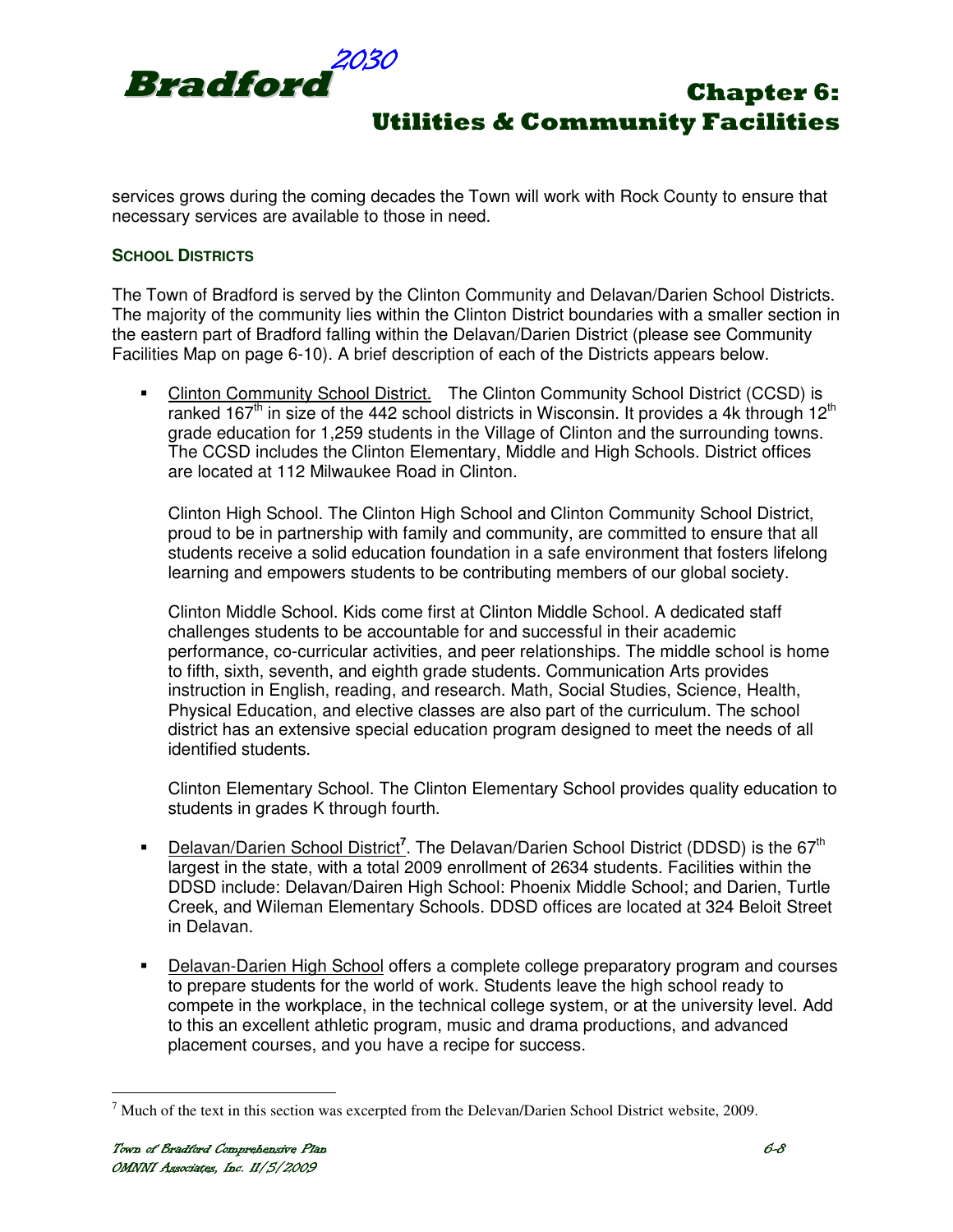

services grows during the coming decades the Town will work with Rock County to ensure that necessary services are available to those in need.

#### **SCHOOL DISTRICTS**

The Town of Bradford is served by the Clinton Community and Delavan/Darien School Districts. The majority of the community lies within the Clinton District boundaries with a smaller section in the eastern part of Bradford falling within the Delavan/Darien District (please see Community Facilities Map on page 6-10). A brief description of each of the Districts appears below.

• Clinton Community School District. The Clinton Community School District (CCSD) is ranked 167<sup>th</sup> in size of the 442 school districts in Wisconsin. It provides a 4k through  $12<sup>th</sup>$ grade education for 1,259 students in the Village of Clinton and the surrounding towns. The CCSD includes the Clinton Elementary, Middle and High Schools. District offices are located at 112 Milwaukee Road in Clinton.

 Clinton High School. The Clinton High School and Clinton Community School District, proud to be in partnership with family and community, are committed to ensure that all students receive a solid education foundation in a safe environment that fosters lifelong learning and empowers students to be contributing members of our global society.

 Clinton Middle School. Kids come first at Clinton Middle School. A dedicated staff challenges students to be accountable for and successful in their academic performance, co-curricular activities, and peer relationships. The middle school is home to fifth, sixth, seventh, and eighth grade students. Communication Arts provides instruction in English, reading, and research. Math, Social Studies, Science, Health, Physical Education, and elective classes are also part of the curriculum. The school district has an extensive special education program designed to meet the needs of all identified students.

 Clinton Elementary School. The Clinton Elementary School provides quality education to students in grades K through fourth.

- **Delavan/Darien School District<sup>7</sup>.** The Delavan/Darien School District (DDSD) is the 67<sup>th</sup> largest in the state, with a total 2009 enrollment of 2634 students. Facilities within the DDSD include: Delavan/Dairen High School: Phoenix Middle School; and Darien, Turtle Creek, and Wileman Elementary Schools. DDSD offices are located at 324 Beloit Street in Delavan.
- **Delavan-Darien High School offers a complete college preparatory program and courses** to prepare students for the world of work. Students leave the high school ready to compete in the workplace, in the technical college system, or at the university level. Add to this an excellent athletic program, music and drama productions, and advanced placement courses, and you have a recipe for success.

 $<sup>7</sup>$  Much of the text in this section was excerpted from the Delevan/Darien School District website, 2009.</sup>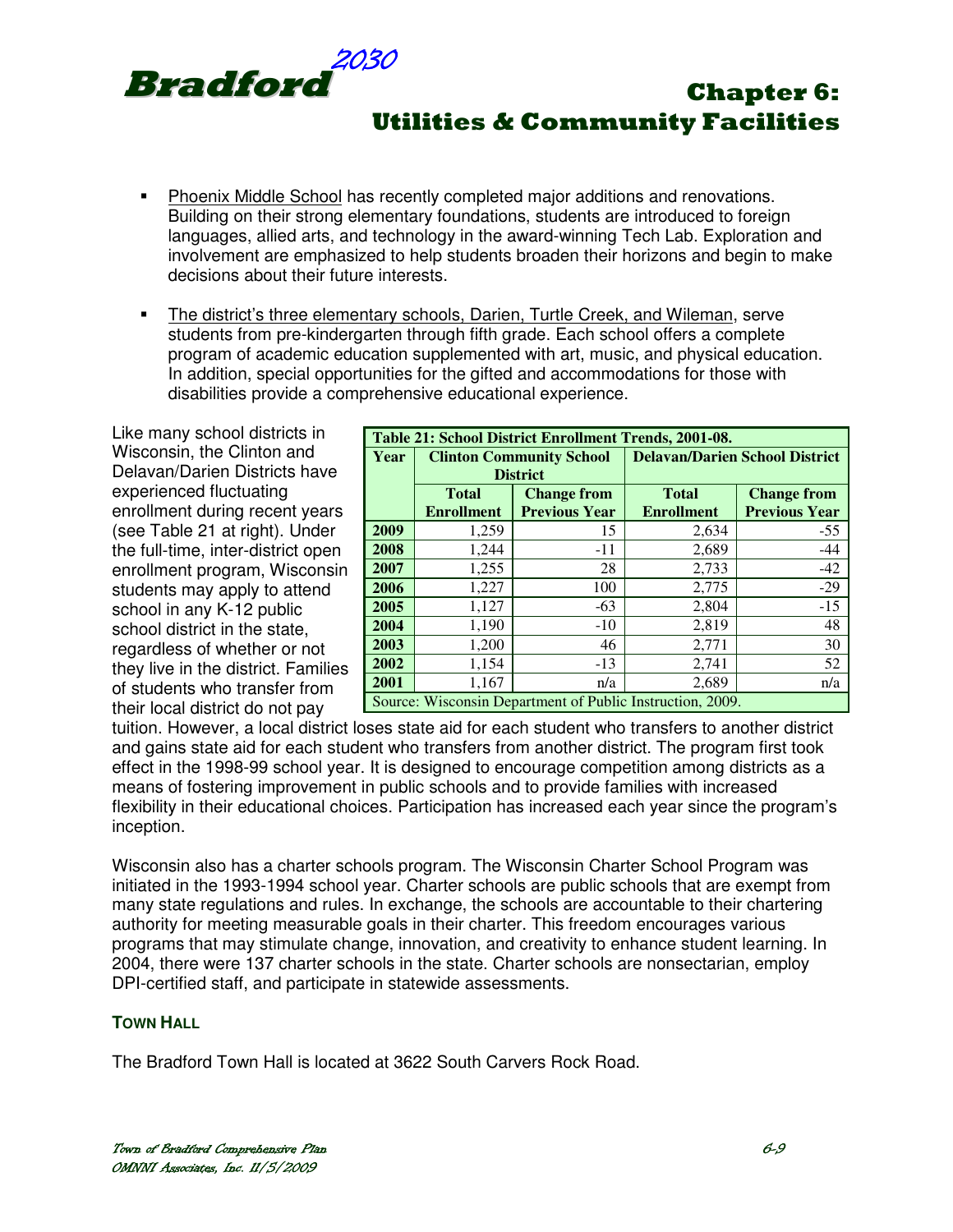

- Phoenix Middle School has recently completed major additions and renovations. Building on their strong elementary foundations, students are introduced to foreign languages, allied arts, and technology in the award-winning Tech Lab. Exploration and involvement are emphasized to help students broaden their horizons and begin to make decisions about their future interests.
- The district's three elementary schools, Darien, Turtle Creek, and Wileman, serve students from pre-kindergarten through fifth grade. Each school offers a complete program of academic education supplemented with art, music, and physical education. In addition, special opportunities for the gifted and accommodations for those with disabilities provide a comprehensive educational experience.

Like many school districts in Wisconsin, the Clinton and Delavan/Darien Districts have experienced fluctuating enrollment during recent years (see Table 21 at right). Under the full-time, inter-district open enrollment program, Wisconsin students may apply to attend school in any K-12 public school district in the state, regardless of whether or not they live in the district. Families of students who transfer from their local district do not pay

| Table 21: School District Enrollment Trends, 2001-08.     |                                    |                      |                                       |                      |  |  |
|-----------------------------------------------------------|------------------------------------|----------------------|---------------------------------------|----------------------|--|--|
| Year                                                      | <b>Clinton Community School</b>    |                      | <b>Delavan/Darien School District</b> |                      |  |  |
|                                                           | <b>District</b>                    |                      |                                       |                      |  |  |
|                                                           | <b>Total</b><br><b>Change from</b> |                      | <b>Total</b>                          | <b>Change from</b>   |  |  |
|                                                           | <b>Enrollment</b>                  | <b>Previous Year</b> | <b>Enrollment</b>                     | <b>Previous Year</b> |  |  |
| 2009                                                      | 1,259                              | 15                   | 2,634                                 | $-55$                |  |  |
| 2008                                                      | 1,244                              | $-11$                | 2,689                                 | $-44$                |  |  |
| 2007                                                      | 1,255                              | 28                   | 2,733                                 | $-42$                |  |  |
| 2006                                                      | 1,227                              | 100                  | 2,775                                 | $-29$                |  |  |
| 2005                                                      | 1,127                              | $-63$                | 2,804                                 | $-15$                |  |  |
| 2004                                                      | 1,190                              | $-10$                | 2,819                                 | 48                   |  |  |
| 2003                                                      | 1,200                              | 46                   | 2,771                                 | 30                   |  |  |
| 2002                                                      | 1,154                              | $-13$                | 2,741                                 | 52                   |  |  |
| 2001                                                      | 1,167                              | n/a                  | 2,689                                 | n/a                  |  |  |
| Source: Wisconsin Department of Public Instruction, 2009. |                                    |                      |                                       |                      |  |  |

tuition. However, a local district loses state aid for each student who transfers to another district and gains state aid for each student who transfers from another district. The program first took effect in the 1998-99 school year. It is designed to encourage competition among districts as a means of fostering improvement in public schools and to provide families with increased flexibility in their educational choices. Participation has increased each year since the program's inception.

Wisconsin also has a charter schools program. The Wisconsin Charter School Program was initiated in the 1993-1994 school year. Charter schools are public schools that are exempt from many state regulations and rules. In exchange, the schools are accountable to their chartering authority for meeting measurable goals in their charter. This freedom encourages various programs that may stimulate change, innovation, and creativity to enhance student learning. In 2004, there were 137 charter schools in the state. Charter schools are nonsectarian, employ DPI-certified staff, and participate in statewide assessments.

#### **TOWN HALL**

The Bradford Town Hall is located at 3622 South Carvers Rock Road.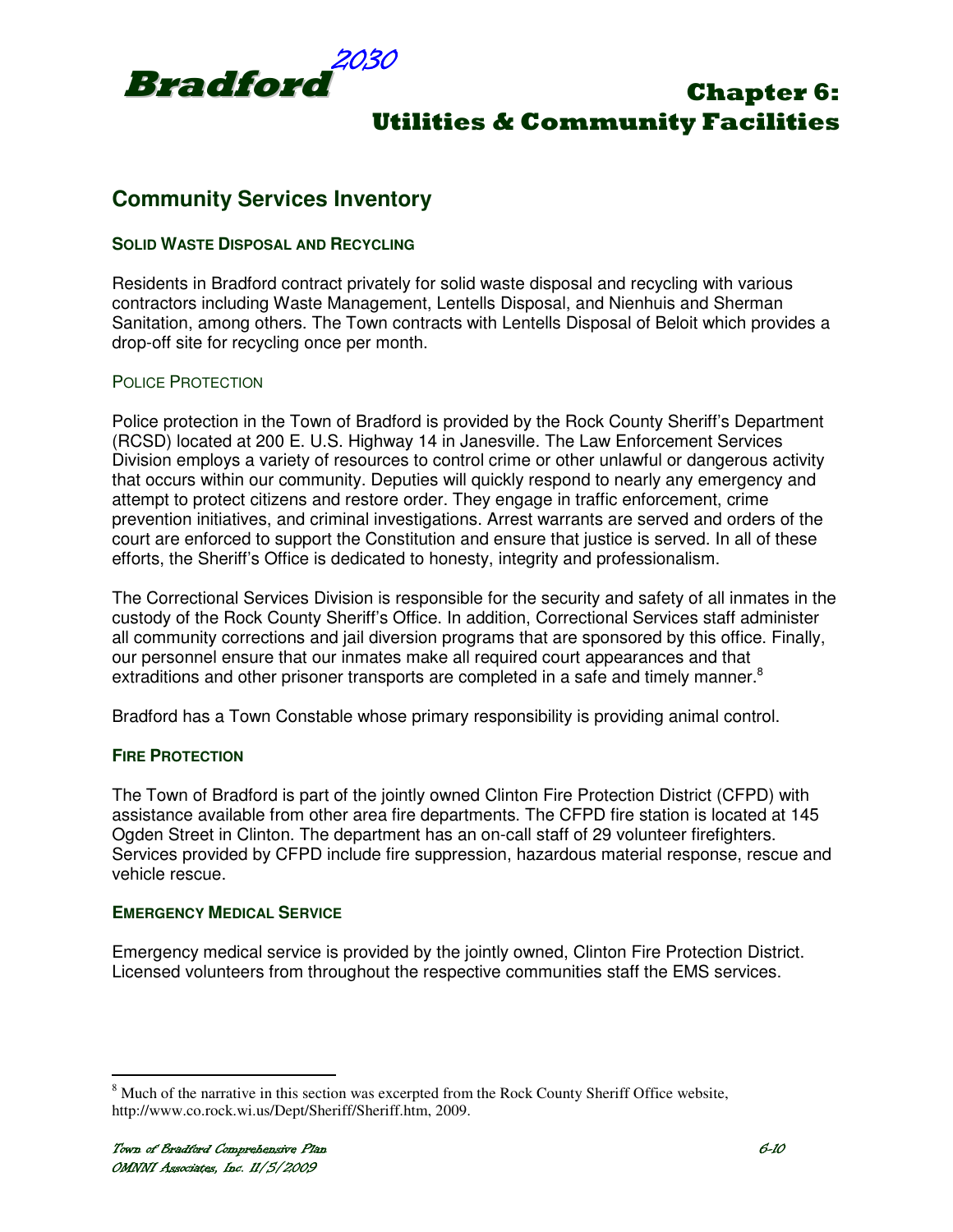

## **Community Services Inventory**

#### **SOLID WASTE DISPOSAL AND RECYCLING**

Residents in Bradford contract privately for solid waste disposal and recycling with various contractors including Waste Management, Lentells Disposal, and Nienhuis and Sherman Sanitation, among others. The Town contracts with Lentells Disposal of Beloit which provides a drop-off site for recycling once per month.

#### POLICE PROTECTION

Police protection in the Town of Bradford is provided by the Rock County Sheriff's Department (RCSD) located at 200 E. U.S. Highway 14 in Janesville. The Law Enforcement Services Division employs a variety of resources to control crime or other unlawful or dangerous activity that occurs within our community. Deputies will quickly respond to nearly any emergency and attempt to protect citizens and restore order. They engage in traffic enforcement, crime prevention initiatives, and criminal investigations. Arrest warrants are served and orders of the court are enforced to support the Constitution and ensure that justice is served. In all of these efforts, the Sheriff's Office is dedicated to honesty, integrity and professionalism.

The Correctional Services Division is responsible for the security and safety of all inmates in the custody of the Rock County Sheriff's Office. In addition, Correctional Services staff administer all community corrections and jail diversion programs that are sponsored by this office. Finally, our personnel ensure that our inmates make all required court appearances and that extraditions and other prisoner transports are completed in a safe and timely manner.<sup>8</sup>

Bradford has a Town Constable whose primary responsibility is providing animal control.

#### **FIRE PROTECTION**

The Town of Bradford is part of the jointly owned Clinton Fire Protection District (CFPD) with assistance available from other area fire departments. The CFPD fire station is located at 145 Ogden Street in Clinton. The department has an on-call staff of 29 volunteer firefighters. Services provided by CFPD include fire suppression, hazardous material response, rescue and vehicle rescue.

#### **EMERGENCY MEDICAL SERVICE**

Emergency medical service is provided by the jointly owned, Clinton Fire Protection District. Licensed volunteers from throughout the respective communities staff the EMS services.

<sup>&</sup>lt;sup>8</sup> Much of the narrative in this section was excerpted from the Rock County Sheriff Office website, http://www.co.rock.wi.us/Dept/Sheriff/Sheriff.htm, 2009.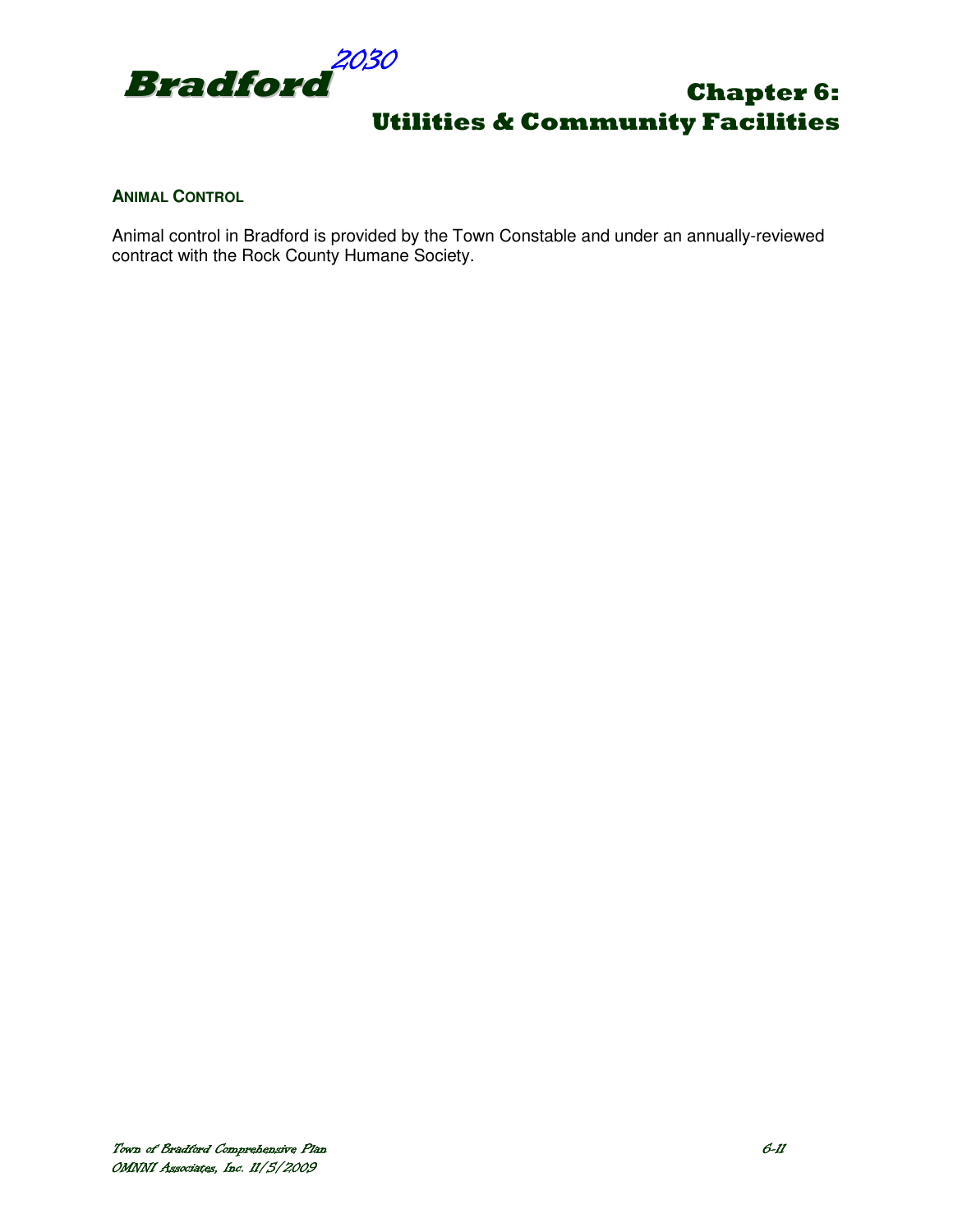

#### **ANIMAL CONTROL**

Animal control in Bradford is provided by the Town Constable and under an annually-reviewed contract with the Rock County Humane Society.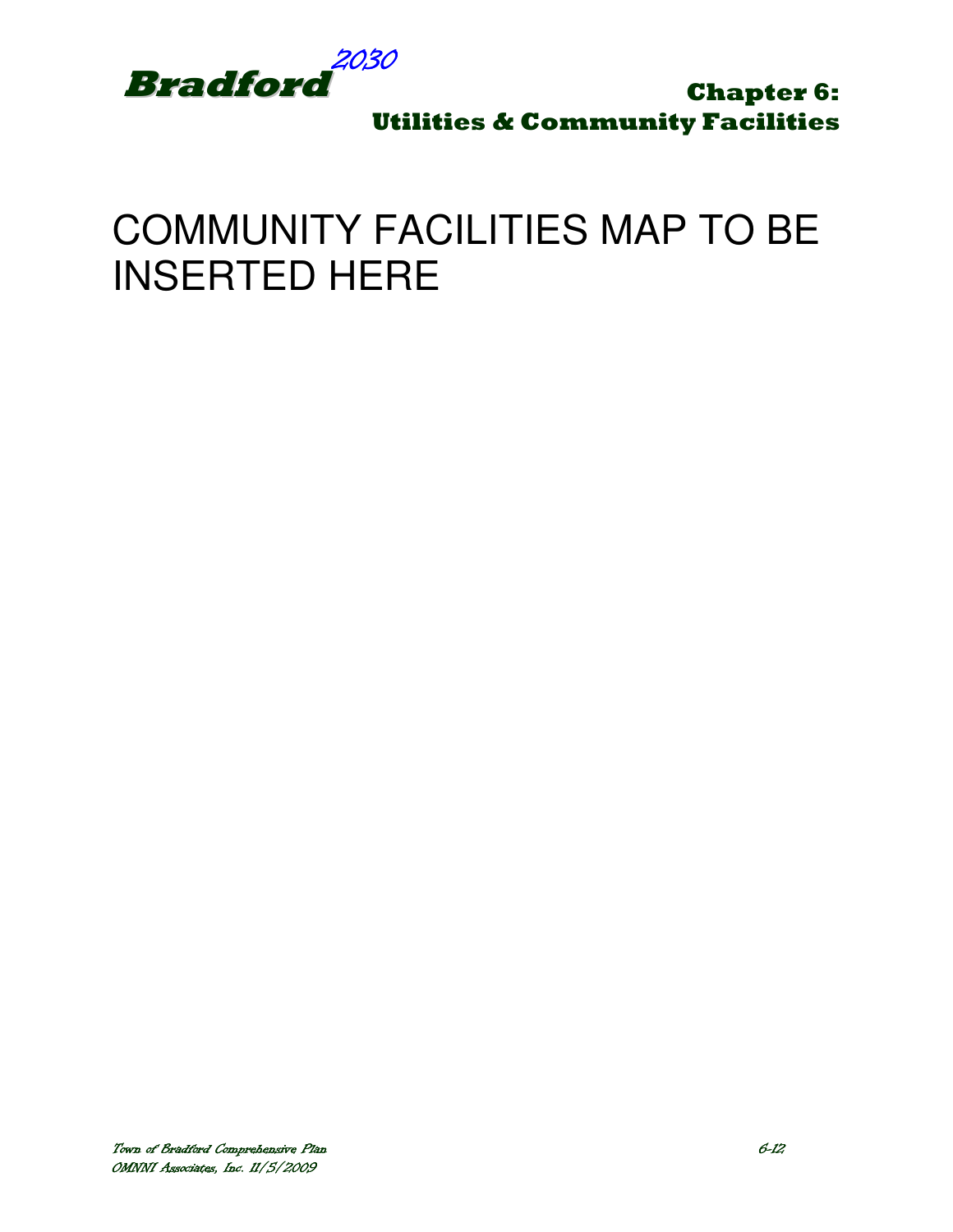

# COMMUNITY FACILITIES MAP TO BE INSERTED HERE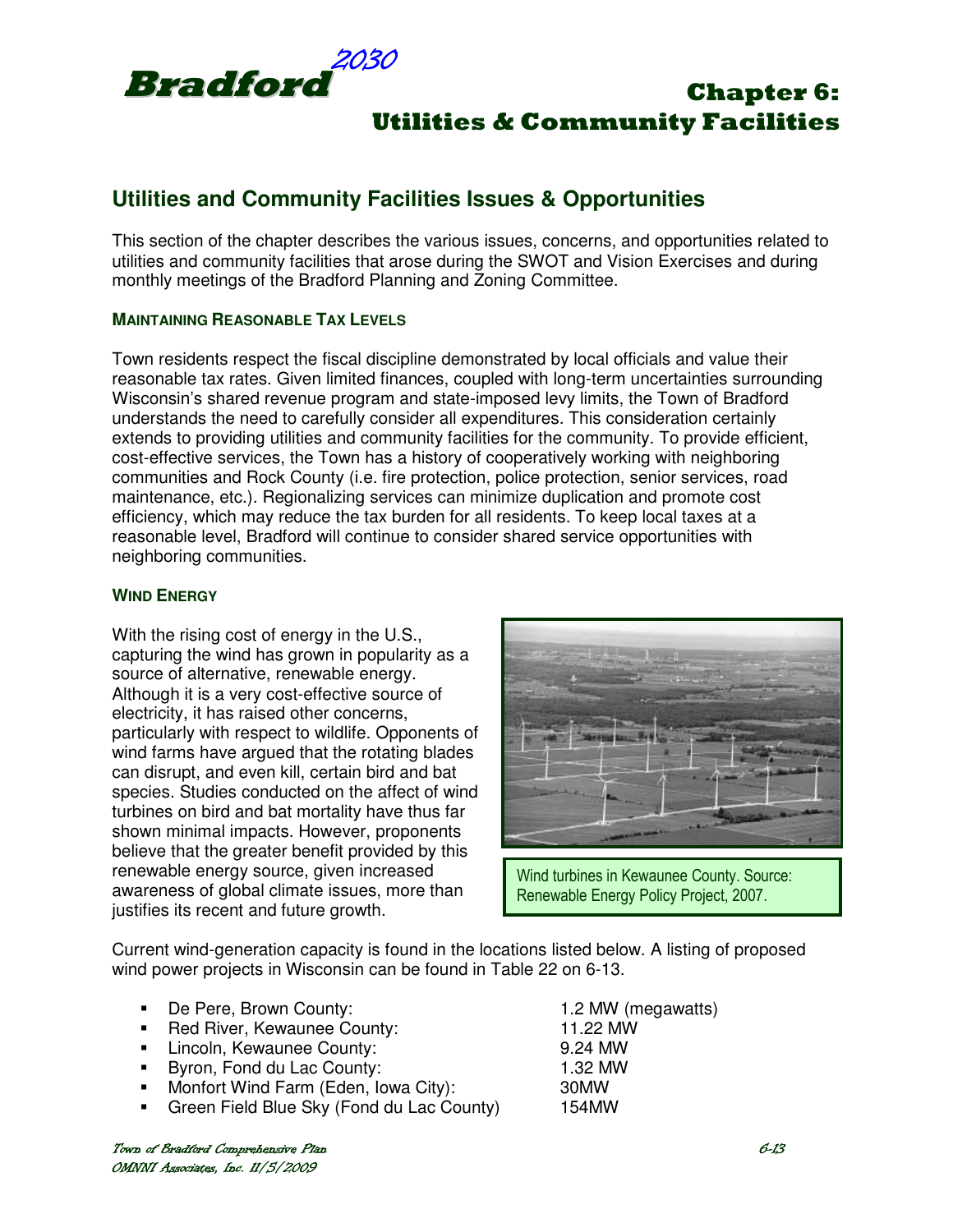

## **Utilities and Community Facilities Issues & Opportunities**

This section of the chapter describes the various issues, concerns, and opportunities related to utilities and community facilities that arose during the SWOT and Vision Exercises and during monthly meetings of the Bradford Planning and Zoning Committee.

#### **MAINTAINING REASONABLE TAX LEVELS**

Town residents respect the fiscal discipline demonstrated by local officials and value their reasonable tax rates. Given limited finances, coupled with long-term uncertainties surrounding Wisconsin's shared revenue program and state-imposed levy limits, the Town of Bradford understands the need to carefully consider all expenditures. This consideration certainly extends to providing utilities and community facilities for the community. To provide efficient, cost-effective services, the Town has a history of cooperatively working with neighboring communities and Rock County (i.e. fire protection, police protection, senior services, road maintenance, etc.). Regionalizing services can minimize duplication and promote cost efficiency, which may reduce the tax burden for all residents. To keep local taxes at a reasonable level, Bradford will continue to consider shared service opportunities with neighboring communities.

#### **WIND ENERGY**

With the rising cost of energy in the U.S., capturing the wind has grown in popularity as a source of alternative, renewable energy. Although it is a very cost-effective source of electricity, it has raised other concerns, particularly with respect to wildlife. Opponents of wind farms have argued that the rotating blades can disrupt, and even kill, certain bird and bat species. Studies conducted on the affect of wind turbines on bird and bat mortality have thus far shown minimal impacts. However, proponents believe that the greater benefit provided by this renewable energy source, given increased awareness of global climate issues, more than justifies its recent and future growth.



Wind turbines in Kewaunee County. Source: Renewable Energy Policy Project, 2007.

Current wind-generation capacity is found in the locations listed below. A listing of proposed wind power projects in Wisconsin can be found in Table 22 on 6-13.

- De Pere, Brown County: 1.2 MW (megawatts)
- Red River, Kewaunee County: 11.22 MW
- Lincoln, Kewaunee County: 9.24 MW
- 
- Byron, Fond du Lac County: 1.32 MW<br>• Monfort Wind Farm (Eden. Iowa City): 30MW **Monfort Wind Farm (Eden, Iowa City):**
- Green Field Blue Sky (Fond du Lac County) 154MW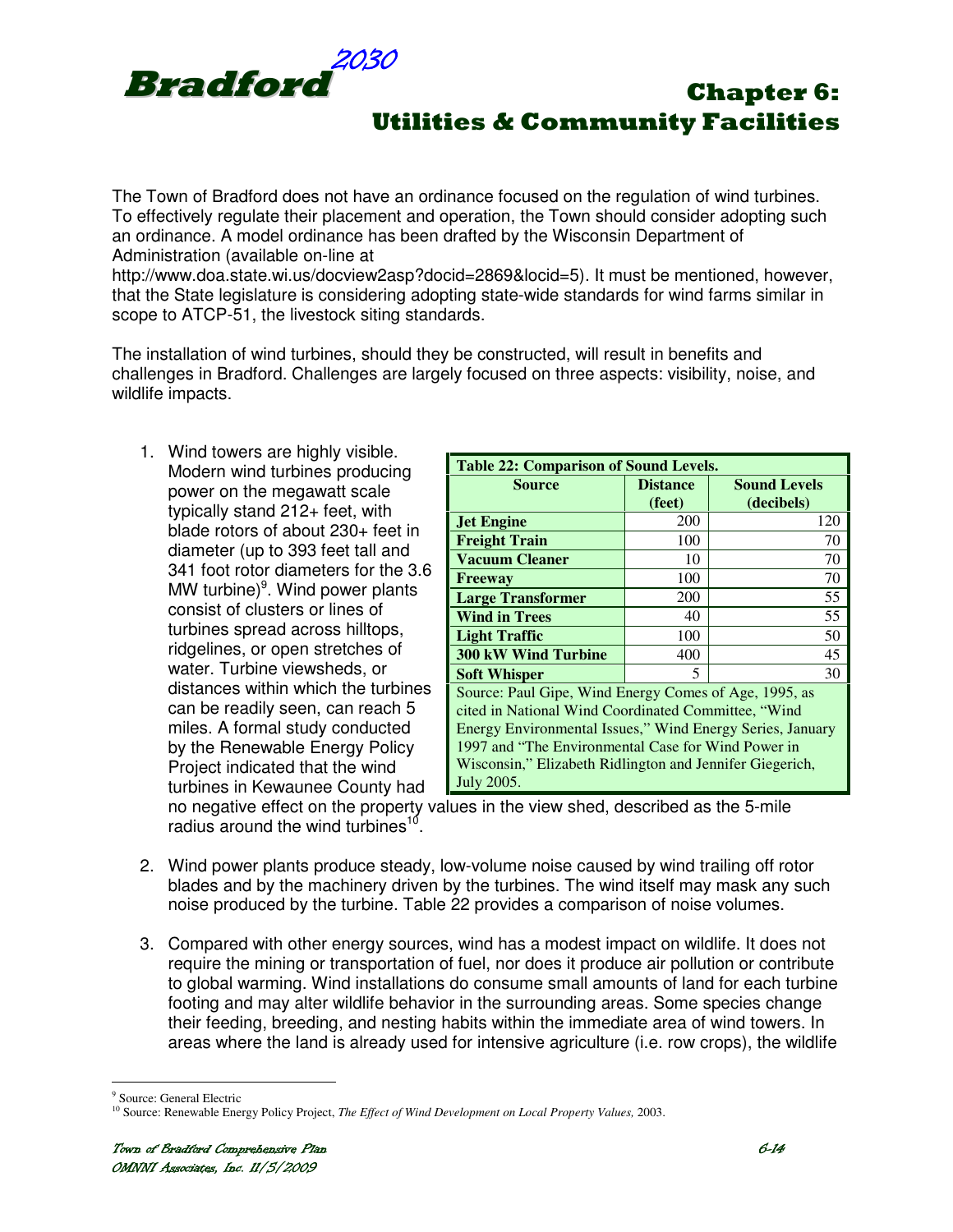

The Town of Bradford does not have an ordinance focused on the regulation of wind turbines. To effectively regulate their placement and operation, the Town should consider adopting such an ordinance. A model ordinance has been drafted by the Wisconsin Department of Administration (available on-line at

http://www.doa.state.wi.us/docview2asp?docid=2869&locid=5). It must be mentioned, however, that the State legislature is considering adopting state-wide standards for wind farms similar in scope to ATCP-51, the livestock siting standards.

The installation of wind turbines, should they be constructed, will result in benefits and challenges in Bradford. Challenges are largely focused on three aspects: visibility, noise, and wildlife impacts.

1. Wind towers are highly visible. Modern wind turbines producing power on the megawatt scale typically stand 212+ feet, with blade rotors of about 230+ feet in diameter (up to 393 feet tall and 341 foot rotor diameters for the 3.6 MW turbine)<sup>9</sup>. Wind power plants consist of clusters or lines of turbines spread across hilltops, ridgelines, or open stretches of water. Turbine viewsheds, or distances within which the turbines can be readily seen, can reach 5 miles. A formal study conducted by the Renewable Energy Policy Project indicated that the wind turbines in Kewaunee County had

| <b>Table 22: Comparison of Sound Levels.</b>                                                                                                                                                                                                                                                              |                           |                                   |  |  |
|-----------------------------------------------------------------------------------------------------------------------------------------------------------------------------------------------------------------------------------------------------------------------------------------------------------|---------------------------|-----------------------------------|--|--|
| <b>Source</b>                                                                                                                                                                                                                                                                                             | <b>Distance</b><br>(feet) | <b>Sound Levels</b><br>(decibels) |  |  |
| <b>Jet Engine</b>                                                                                                                                                                                                                                                                                         | 200                       | 120                               |  |  |
| <b>Freight Train</b>                                                                                                                                                                                                                                                                                      | 100                       | 70                                |  |  |
| <b>Vacuum Cleaner</b>                                                                                                                                                                                                                                                                                     | 10                        | 70                                |  |  |
| Freeway                                                                                                                                                                                                                                                                                                   | 100                       | 70                                |  |  |
| <b>Large Transformer</b>                                                                                                                                                                                                                                                                                  | 200                       | 55                                |  |  |
| <b>Wind in Trees</b>                                                                                                                                                                                                                                                                                      | 40                        | 55                                |  |  |
| <b>Light Traffic</b>                                                                                                                                                                                                                                                                                      | 100                       | 50                                |  |  |
| <b>300 kW Wind Turbine</b>                                                                                                                                                                                                                                                                                | 400                       | 45                                |  |  |
| <b>Soft Whisper</b><br>5                                                                                                                                                                                                                                                                                  |                           |                                   |  |  |
| Source: Paul Gipe, Wind Energy Comes of Age, 1995, as<br>cited in National Wind Coordinated Committee, "Wind<br>Energy Environmental Issues," Wind Energy Series, January<br>1997 and "The Environmental Case for Wind Power in<br>Wisconsin," Elizabeth Ridlington and Jennifer Giegerich,<br>July 2005. |                           |                                   |  |  |

no negative effect on the property values in the view shed, described as the 5-mile radius around the wind turbines<sup>10</sup>.

- 2. Wind power plants produce steady, low-volume noise caused by wind trailing off rotor blades and by the machinery driven by the turbines. The wind itself may mask any such noise produced by the turbine. Table 22 provides a comparison of noise volumes.
- 3. Compared with other energy sources, wind has a modest impact on wildlife. It does not require the mining or transportation of fuel, nor does it produce air pollution or contribute to global warming. Wind installations do consume small amounts of land for each turbine footing and may alter wildlife behavior in the surrounding areas. Some species change their feeding, breeding, and nesting habits within the immediate area of wind towers. In areas where the land is already used for intensive agriculture (i.e. row crops), the wildlife

 $\overline{a}$ 9 Source: General Electric

<sup>&</sup>lt;sup>10</sup> Source: Renewable Energy Policy Project, *The Effect of Wind Development on Local Property Values*, 2003.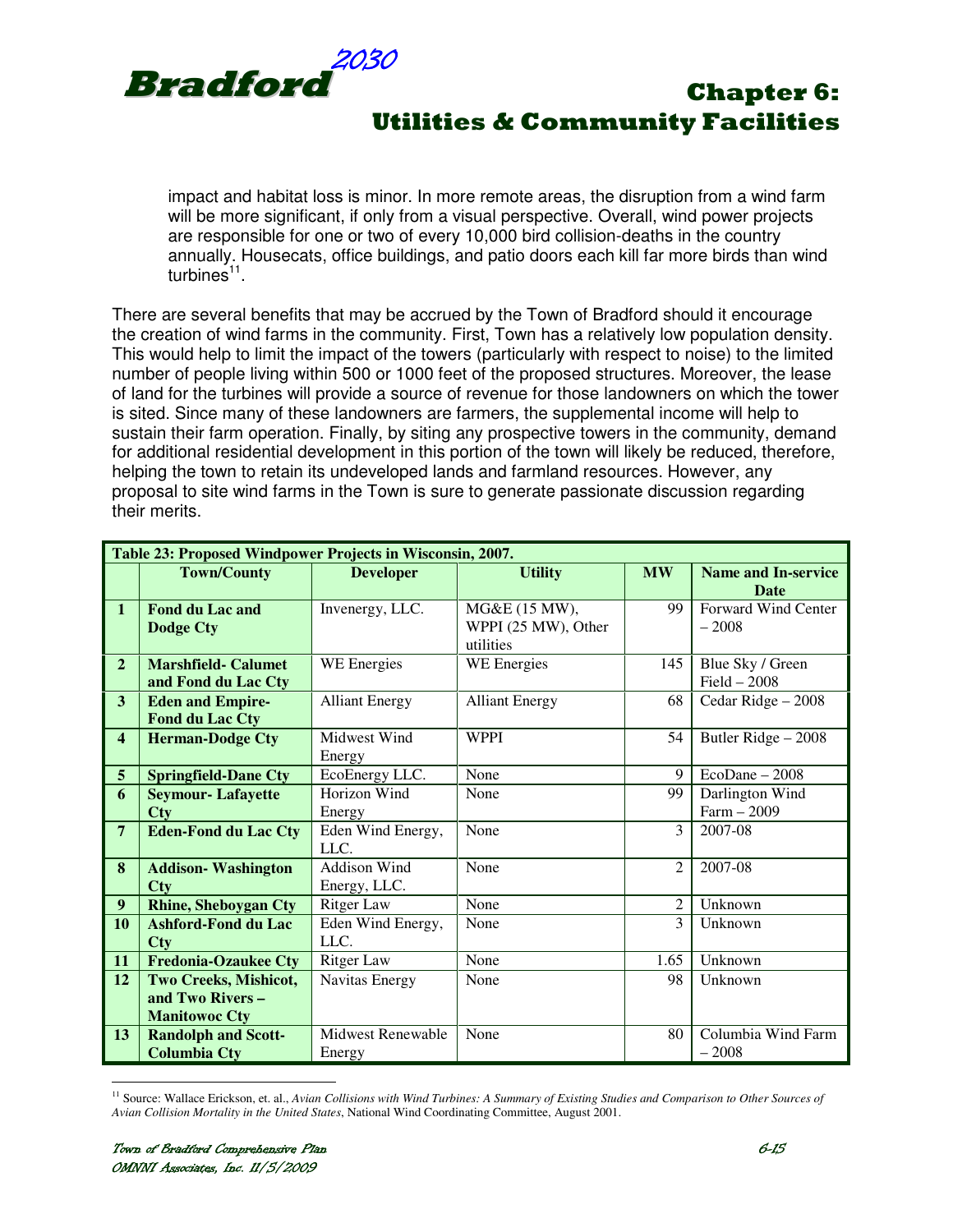

impact and habitat loss is minor. In more remote areas, the disruption from a wind farm will be more significant, if only from a visual perspective. Overall, wind power projects are responsible for one or two of every 10,000 bird collision-deaths in the country annually. Housecats, office buildings, and patio doors each kill far more birds than wind turbines<sup>11</sup>.

There are several benefits that may be accrued by the Town of Bradford should it encourage the creation of wind farms in the community. First, Town has a relatively low population density. This would help to limit the impact of the towers (particularly with respect to noise) to the limited number of people living within 500 or 1000 feet of the proposed structures. Moreover, the lease of land for the turbines will provide a source of revenue for those landowners on which the tower is sited. Since many of these landowners are farmers, the supplemental income will help to sustain their farm operation. Finally, by siting any prospective towers in the community, demand for additional residential development in this portion of the town will likely be reduced, therefore, helping the town to retain its undeveloped lands and farmland resources. However, any proposal to site wind farms in the Town is sure to generate passionate discussion regarding their merits.

| Table 23: Proposed Windpower Projects in Wisconsin, 2007. |                             |                          |                       |                |                            |
|-----------------------------------------------------------|-----------------------------|--------------------------|-----------------------|----------------|----------------------------|
|                                                           | <b>Town/County</b>          | <b>Developer</b>         | <b>Utility</b>        | <b>MW</b>      | <b>Name and In-service</b> |
|                                                           |                             |                          |                       |                | <b>Date</b>                |
| $\mathbf{1}$                                              | <b>Fond du Lac and</b>      | Invenergy, LLC.          | MG&E (15 MW),         | 99             | <b>Forward Wind Center</b> |
|                                                           | <b>Dodge Cty</b>            |                          | WPPI (25 MW), Other   |                | $-2008$                    |
|                                                           |                             |                          | utilities             |                |                            |
| $\overline{2}$                                            | <b>Marshfield- Calumet</b>  | WE Energies              | WE Energies           | 145            | Blue Sky / Green           |
|                                                           | and Fond du Lac Cty         |                          |                       |                | $Field - 2008$             |
| $\overline{\mathbf{3}}$                                   | <b>Eden and Empire-</b>     | <b>Alliant Energy</b>    | <b>Alliant Energy</b> | 68             | Cedar Ridge - 2008         |
|                                                           | <b>Fond du Lac Cty</b>      |                          |                       |                |                            |
| $\overline{\mathbf{4}}$                                   | <b>Herman-Dodge Cty</b>     | Midwest Wind             | <b>WPPI</b>           | 54             | Butler Ridge - 2008        |
|                                                           |                             | Energy                   |                       |                |                            |
| $5\overline{)}$                                           | <b>Springfield-Dane Cty</b> | EcoEnergy LLC.           | None                  | 9              | $EcoDane - 2008$           |
| 6                                                         | <b>Seymour-Lafayette</b>    | Horizon Wind             | None                  | 99             | Darlington Wind            |
|                                                           | <b>Cty</b>                  | Energy                   |                       |                | $Farm - 2009$              |
| $\overline{7}$                                            | <b>Eden-Fond du Lac Cty</b> | Eden Wind Energy,        | None                  | 3              | 2007-08                    |
|                                                           |                             | LLC.                     |                       |                |                            |
| 8                                                         | <b>Addison-Washington</b>   | Addison Wind             | None                  | $\overline{2}$ | 2007-08                    |
|                                                           | Cty                         | Energy, LLC.             |                       |                |                            |
| $\boldsymbol{9}$                                          | <b>Rhine, Sheboygan Cty</b> | <b>Ritger Law</b>        | None                  | $\overline{2}$ | Unknown                    |
| 10                                                        | <b>Ashford-Fond du Lac</b>  | Eden Wind Energy,        | None                  | 3              | Unknown                    |
|                                                           | Cty                         | LLC.                     |                       |                |                            |
| 11                                                        | <b>Fredonia-Ozaukee Cty</b> | <b>Ritger Law</b>        | None                  | 1.65           | Unknown                    |
| 12                                                        | Two Creeks, Mishicot,       | Navitas Energy           | None                  | 98             | Unknown                    |
|                                                           | and Two Rivers -            |                          |                       |                |                            |
|                                                           | <b>Manitowoc Cty</b>        |                          |                       |                |                            |
| 13                                                        | <b>Randolph and Scott-</b>  | <b>Midwest Renewable</b> | None                  | 80             | Columbia Wind Farm         |
|                                                           | <b>Columbia Cty</b>         | Energy                   |                       |                | $-2008$                    |

 $\overline{a}$ <sup>11</sup> Source: Wallace Erickson, et. al., Avian Collisions with Wind Turbines: A Summary of Existing Studies and Comparison to Other Sources of *Avian Collision Mortality in the United States*, National Wind Coordinating Committee, August 2001.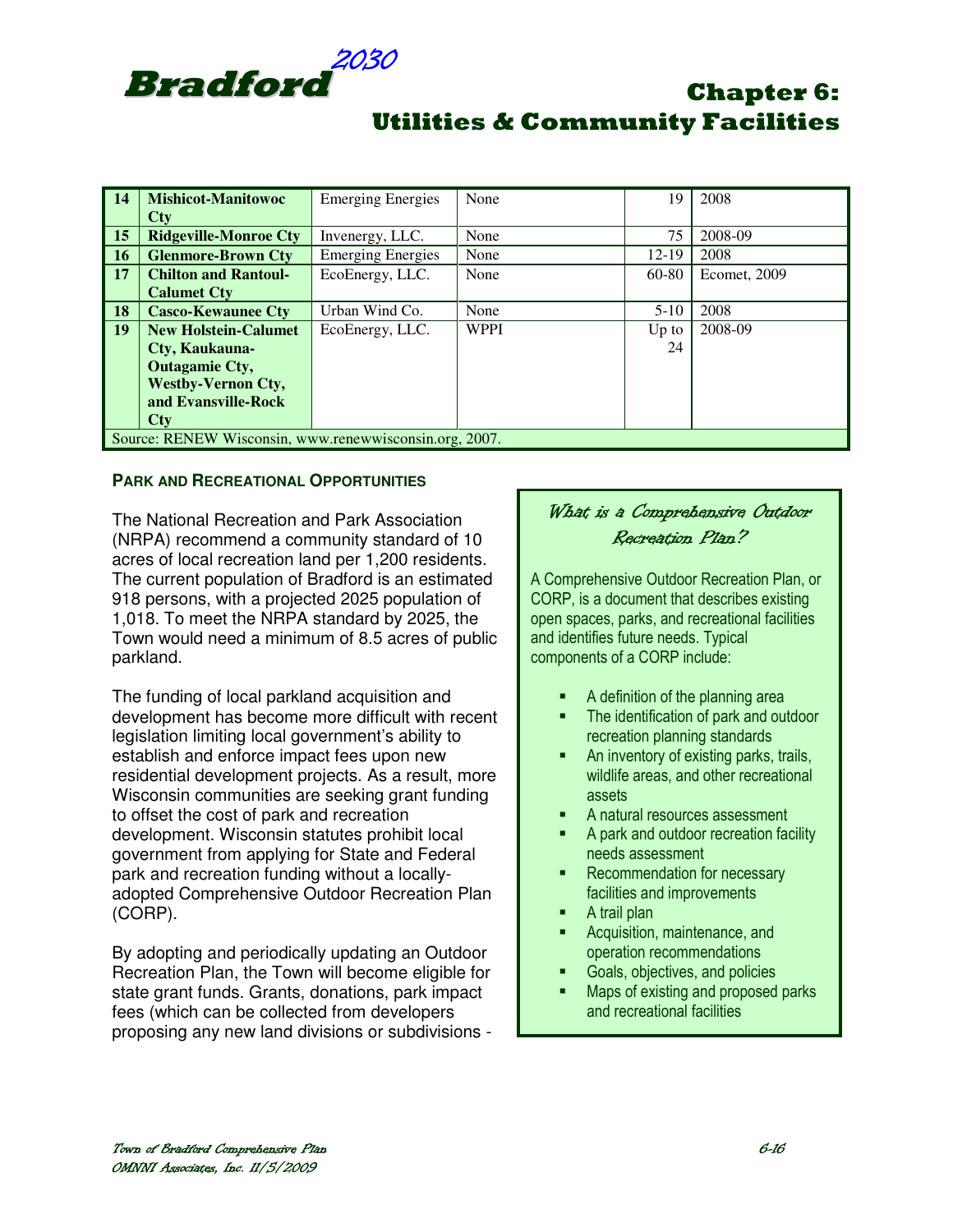

| $\vert$ 14                                             | <b>Mishicot-Manitowoc</b>    | <b>Emerging Energies</b> | None        | 19      | 2008         |
|--------------------------------------------------------|------------------------------|--------------------------|-------------|---------|--------------|
|                                                        | $\bf C$ ty                   |                          |             |         |              |
| $\vert$ 15                                             | <b>Ridgeville-Monroe Cty</b> | Invenergy, LLC.          | None        | 75      | 2008-09      |
| $\vert$ 16                                             | <b>Glenmore-Brown Cty</b>    | <b>Emerging Energies</b> | None        | 12-19   | 2008         |
| $\vert$ 17                                             | <b>Chilton and Rantoul-</b>  | EcoEnergy, LLC.          | None        | 60-80   | Ecomet, 2009 |
|                                                        | <b>Calumet Cty</b>           |                          |             |         |              |
| $\vert$ 18                                             | <b>Casco-Kewaunee Cty</b>    | Urban Wind Co.           | None        | $5-10$  | 2008         |
| $\vert$ 19                                             | <b>New Holstein-Calumet</b>  | EcoEnergy, LLC.          | <b>WPPI</b> | $Up$ to | 2008-09      |
|                                                        | Cty, Kaukauna-               |                          |             | 24      |              |
|                                                        | <b>Outagamie Cty,</b>        |                          |             |         |              |
|                                                        | <b>Westby-Vernon Cty,</b>    |                          |             |         |              |
|                                                        | and Evansville-Rock          |                          |             |         |              |
|                                                        | <b>Ctv</b>                   |                          |             |         |              |
| Source: RENEW Wisconsin, www.renewwisconsin.org, 2007. |                              |                          |             |         |              |

#### **PARK AND RECREATIONAL OPPORTUNITIES**

The National Recreation and Park Association (NRPA) recommend a community standard of 10 acres of local recreation land per 1,200 residents. The current population of Bradford is an estimated 918 persons, with a projected 2025 population of 1,018. To meet the NRPA standard by 2025, the Town would need a minimum of 8.5 acres of public parkland.

The funding of local parkland acquisition and development has become more difficult with recent legislation limiting local government's ability to establish and enforce impact fees upon new residential development projects. As a result, more Wisconsin communities are seeking grant funding to offset the cost of park and recreation development. Wisconsin statutes prohibit local government from applying for State and Federal park and recreation funding without a locallyadopted Comprehensive Outdoor Recreation Plan (CORP).

By adopting and periodically updating an Outdoor Recreation Plan, the Town will become eligible for state grant funds. Grants, donations, park impact fees (which can be collected from developers proposing any new land divisions or subdivisions -

## What is a Comprehensive Outdoor Recreation Plan?

A Comprehensive Outdoor Recreation Plan, or CORP, is a document that describes existing open spaces, parks, and recreational facilities and identifies future needs. Typical components of a CORP include:

- A definition of the planning area
- **The identification of park and outdoor** recreation planning standards
- An inventory of existing parks, trails, wildlife areas, and other recreational assets
- A natural resources assessment
- A park and outdoor recreation facility needs assessment
- **Recommendation for necessary** facilities and improvements
- A trail plan
- Acquisition, maintenance, and operation recommendations
- Goals, objectives, and policies
- Maps of existing and proposed parks and recreational facilities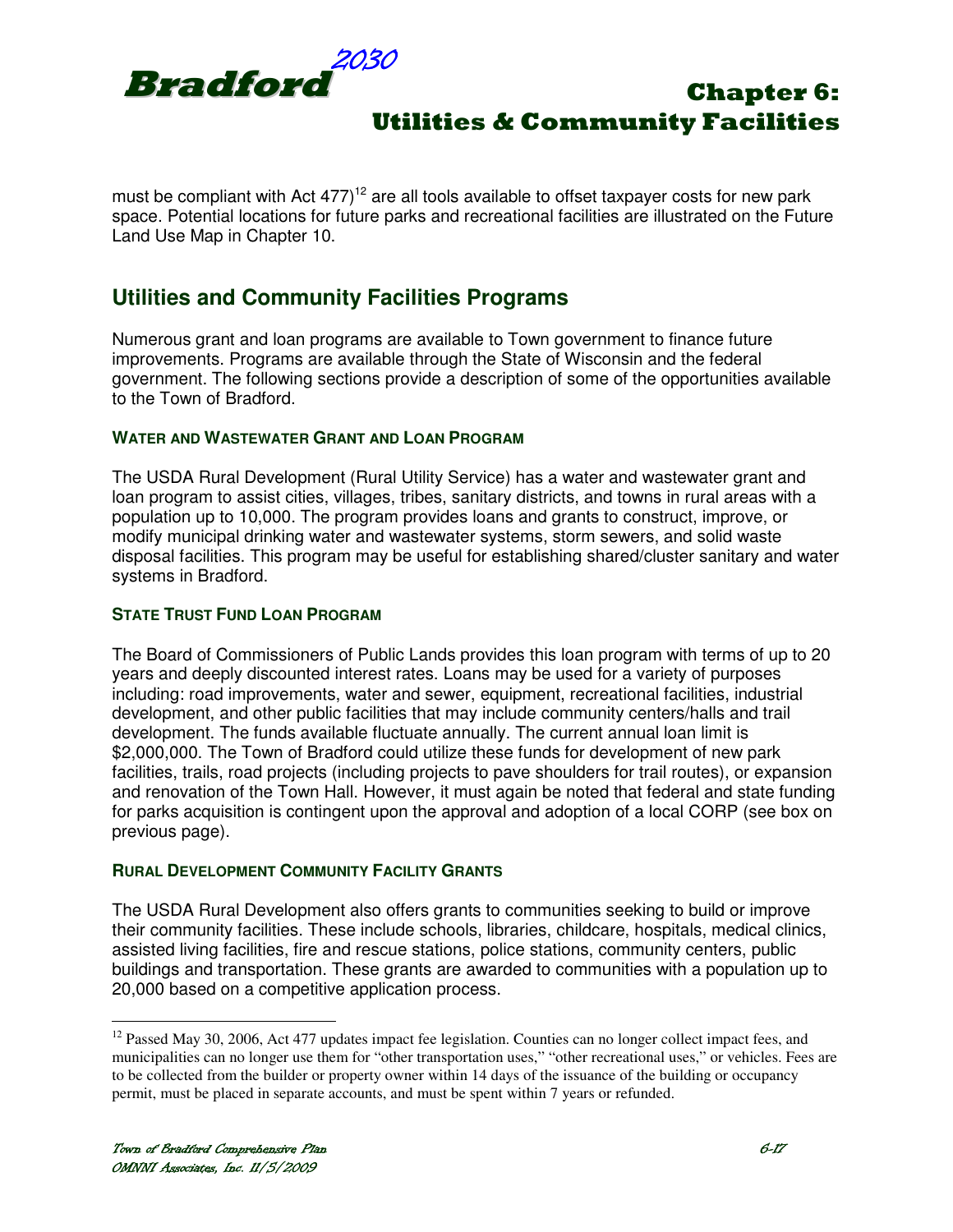

must be compliant with Act  $477$ <sup>12</sup> are all tools available to offset taxpayer costs for new park space. Potential locations for future parks and recreational facilities are illustrated on the Future Land Use Map in Chapter 10.

## **Utilities and Community Facilities Programs**

Numerous grant and loan programs are available to Town government to finance future improvements. Programs are available through the State of Wisconsin and the federal government. The following sections provide a description of some of the opportunities available to the Town of Bradford.

#### **WATER AND WASTEWATER GRANT AND LOAN PROGRAM**

The USDA Rural Development (Rural Utility Service) has a water and wastewater grant and loan program to assist cities, villages, tribes, sanitary districts, and towns in rural areas with a population up to 10,000. The program provides loans and grants to construct, improve, or modify municipal drinking water and wastewater systems, storm sewers, and solid waste disposal facilities. This program may be useful for establishing shared/cluster sanitary and water systems in Bradford.

#### **STATE TRUST FUND LOAN PROGRAM**

The Board of Commissioners of Public Lands provides this loan program with terms of up to 20 years and deeply discounted interest rates. Loans may be used for a variety of purposes including: road improvements, water and sewer, equipment, recreational facilities, industrial development, and other public facilities that may include community centers/halls and trail development. The funds available fluctuate annually. The current annual loan limit is \$2,000,000. The Town of Bradford could utilize these funds for development of new park facilities, trails, road projects (including projects to pave shoulders for trail routes), or expansion and renovation of the Town Hall. However, it must again be noted that federal and state funding for parks acquisition is contingent upon the approval and adoption of a local CORP (see box on previous page).

#### **RURAL DEVELOPMENT COMMUNITY FACILITY GRANTS**

The USDA Rural Development also offers grants to communities seeking to build or improve their community facilities. These include schools, libraries, childcare, hospitals, medical clinics, assisted living facilities, fire and rescue stations, police stations, community centers, public buildings and transportation. These grants are awarded to communities with a population up to 20,000 based on a competitive application process.

<sup>&</sup>lt;sup>12</sup> Passed May 30, 2006, Act 477 updates impact fee legislation. Counties can no longer collect impact fees, and municipalities can no longer use them for "other transportation uses," "other recreational uses," or vehicles. Fees are to be collected from the builder or property owner within 14 days of the issuance of the building or occupancy permit, must be placed in separate accounts, and must be spent within 7 years or refunded.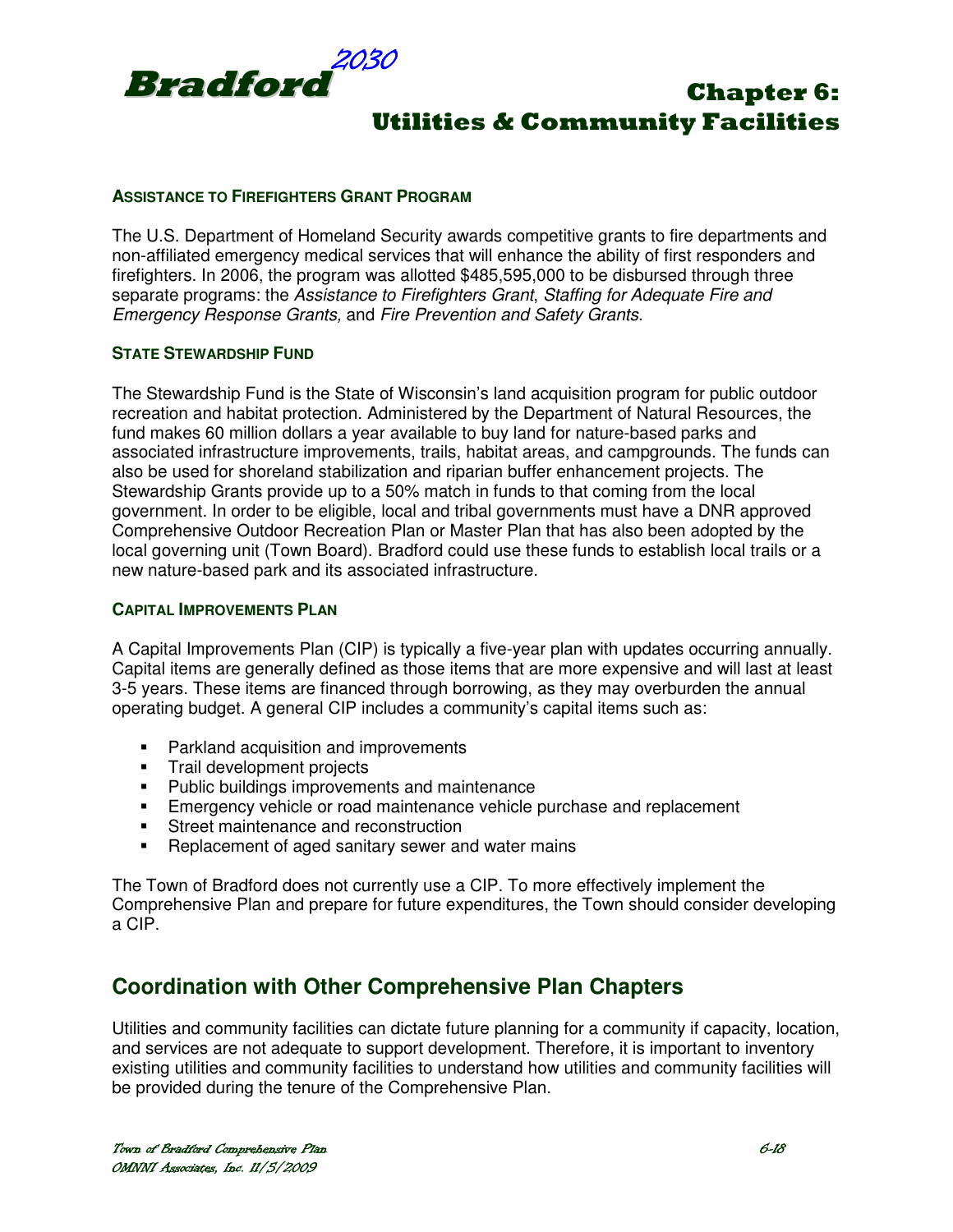

#### **ASSISTANCE TO FIREFIGHTERS GRANT PROGRAM**

The U.S. Department of Homeland Security awards competitive grants to fire departments and non-affiliated emergency medical services that will enhance the ability of first responders and firefighters. In 2006, the program was allotted \$485,595,000 to be disbursed through three separate programs: the Assistance to Firefighters Grant, Staffing for Adequate Fire and Emergency Response Grants, and Fire Prevention and Safety Grants.

#### **STATE STEWARDSHIP FUND**

The Stewardship Fund is the State of Wisconsin's land acquisition program for public outdoor recreation and habitat protection. Administered by the Department of Natural Resources, the fund makes 60 million dollars a year available to buy land for nature-based parks and associated infrastructure improvements, trails, habitat areas, and campgrounds. The funds can also be used for shoreland stabilization and riparian buffer enhancement projects. The Stewardship Grants provide up to a 50% match in funds to that coming from the local government. In order to be eligible, local and tribal governments must have a DNR approved Comprehensive Outdoor Recreation Plan or Master Plan that has also been adopted by the local governing unit (Town Board). Bradford could use these funds to establish local trails or a new nature-based park and its associated infrastructure.

#### **CAPITAL IMPROVEMENTS PLAN**

A Capital Improvements Plan (CIP) is typically a five-year plan with updates occurring annually. Capital items are generally defined as those items that are more expensive and will last at least 3-5 years. These items are financed through borrowing, as they may overburden the annual operating budget. A general CIP includes a community's capital items such as:

- **Parkland acquisition and improvements**
- **Trail development projects**
- **Public buildings improvements and maintenance**
- Emergency vehicle or road maintenance vehicle purchase and replacement
- **Street maintenance and reconstruction**
- **-** Replacement of aged sanitary sewer and water mains

The Town of Bradford does not currently use a CIP. To more effectively implement the Comprehensive Plan and prepare for future expenditures, the Town should consider developing a CIP.

## **Coordination with Other Comprehensive Plan Chapters**

Utilities and community facilities can dictate future planning for a community if capacity, location, and services are not adequate to support development. Therefore, it is important to inventory existing utilities and community facilities to understand how utilities and community facilities will be provided during the tenure of the Comprehensive Plan.